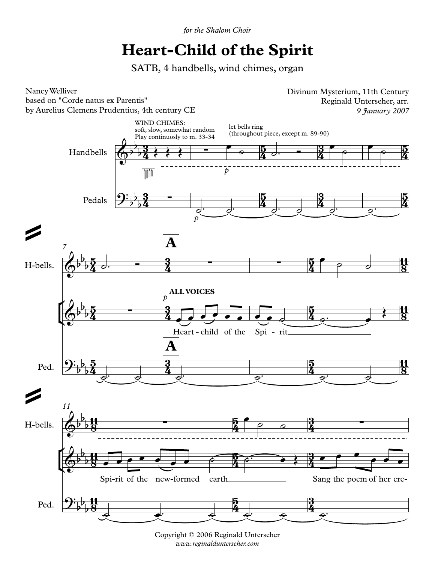*the Shalom Choir*

## SATB,**Heart-Child of the Spirit**

SATB, 4 handbells, wind chimes, organ



ight © 2006 Reginald Unterseher www.reginaldunterseher.com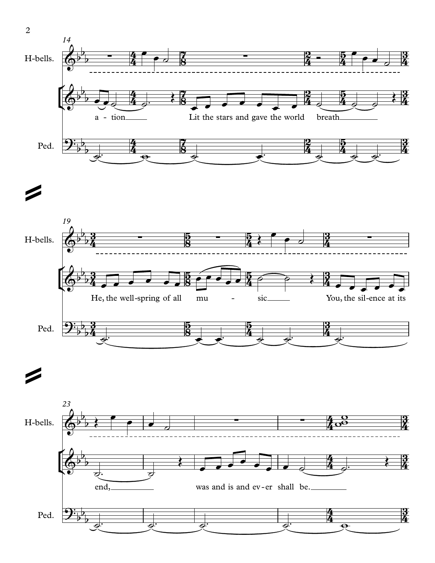





2

=

=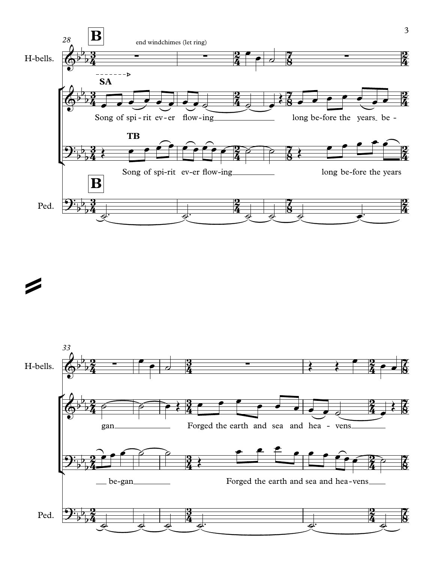



=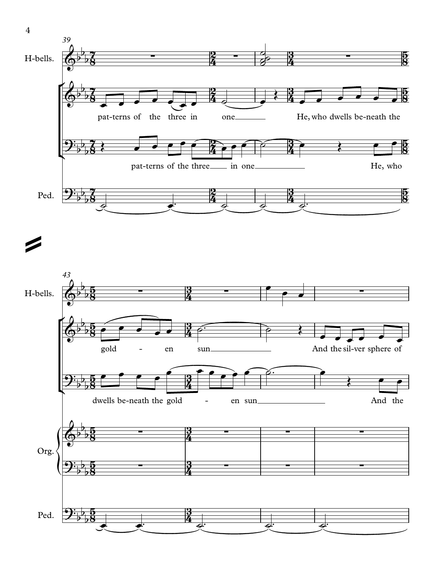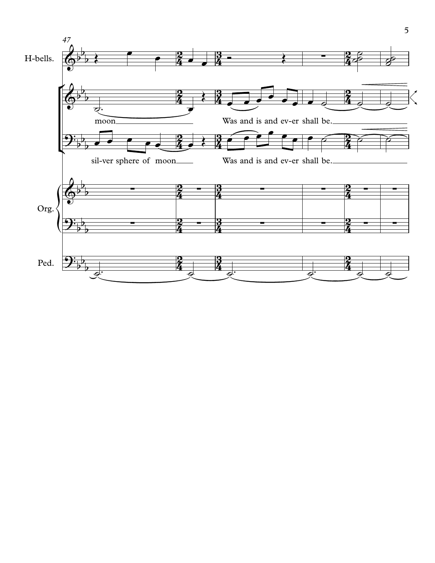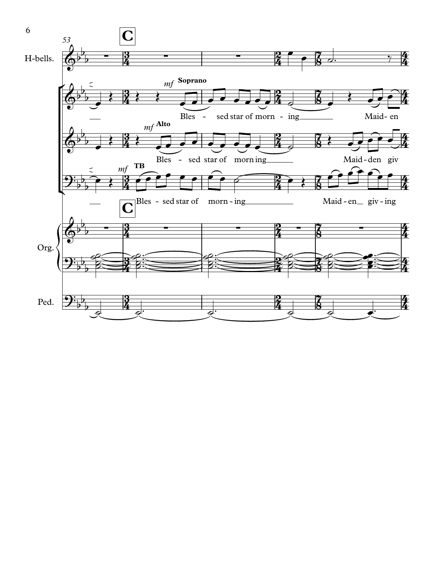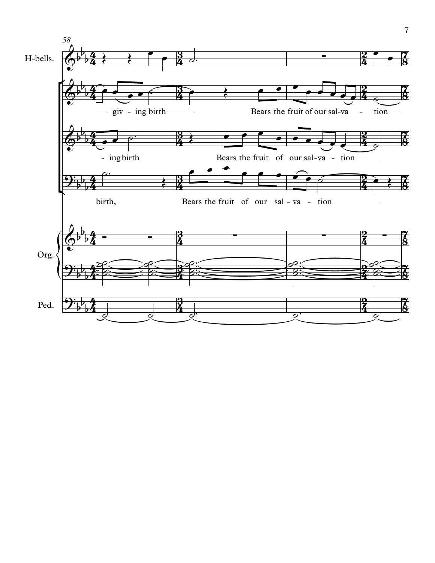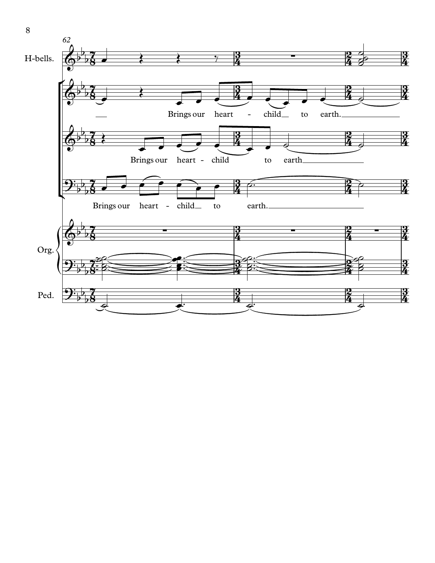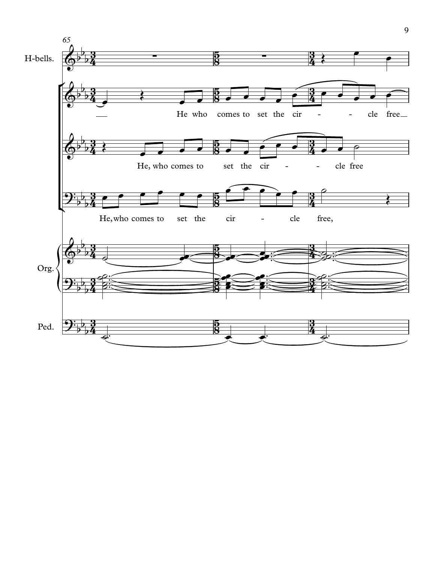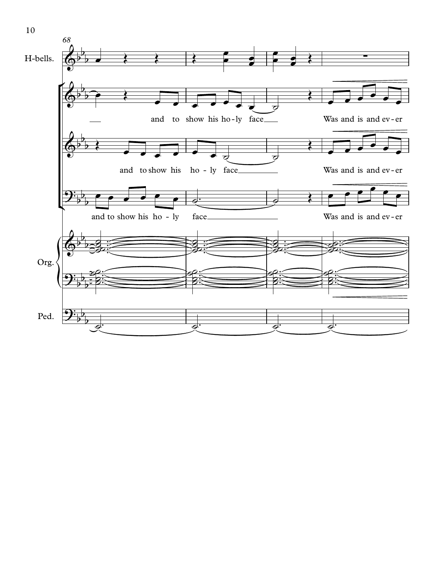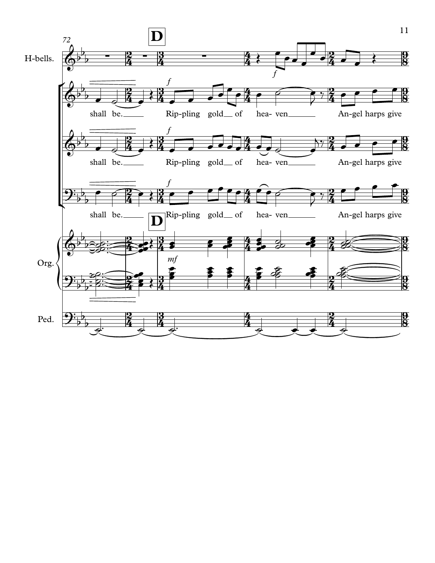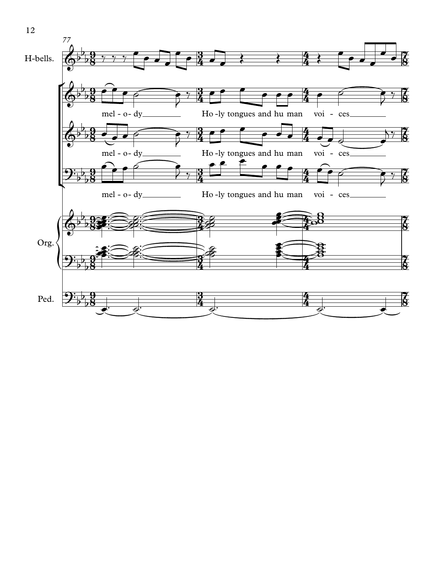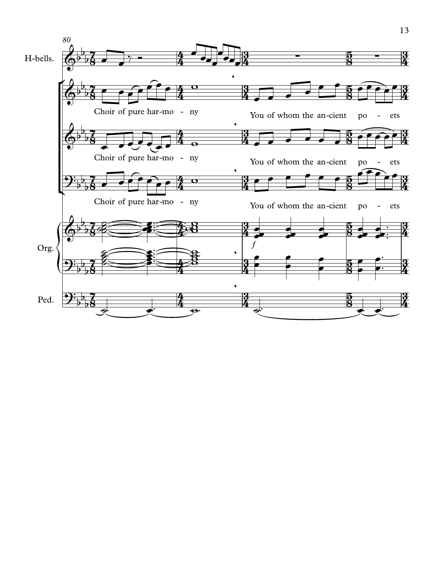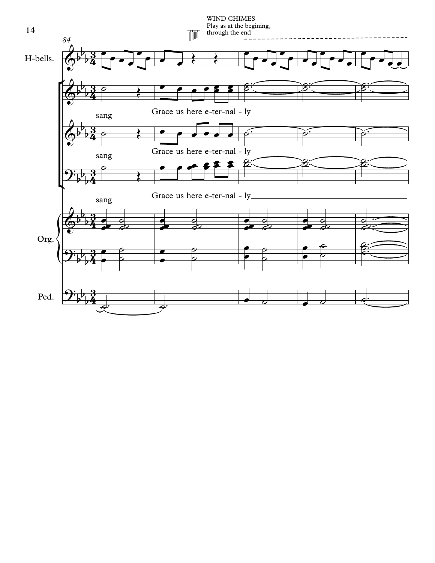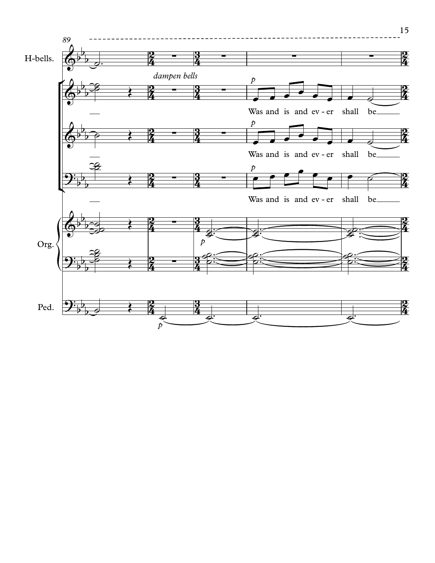